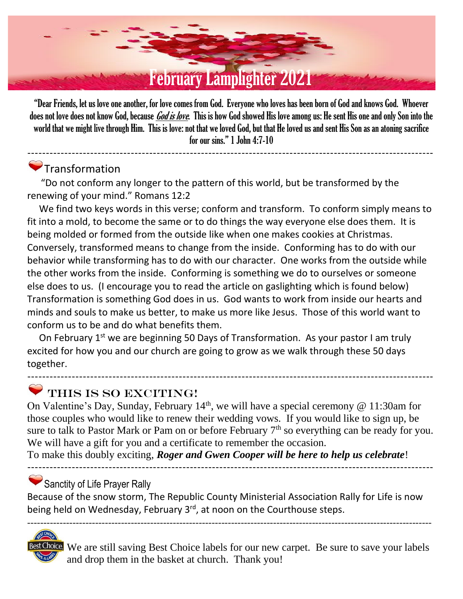

"Dear Friends, let us love one another, for love comes from God. Everyone who loves has been born of God and knows God. Whoever does not love does not know God, because *God is love*. This is how God showed His love among us: He sent His one and only Son into the world that we might live through Him. This is love: not that we loved God, but that He loved us and sent His Son as an atoning sacrifice for our sins." 1 John 4:7-10

--------------------------------------------------------------------------------------------------------------

# Transformation

 "Do not conform any longer to the pattern of this world, but be transformed by the renewing of your mind." Romans 12:2

 We find two keys words in this verse; conform and transform. To conform simply means to fit into a mold, to become the same or to do things the way everyone else does them. It is being molded or formed from the outside like when one makes cookies at Christmas. Conversely, transformed means to change from the inside. Conforming has to do with our behavior while transforming has to do with our character. One works from the outside while the other works from the inside. Conforming is something we do to ourselves or someone else does to us. (I encourage you to read the article on gaslighting which is found below) Transformation is something God does in us. God wants to work from inside our hearts and minds and souls to make us better, to make us more like Jesus. Those of this world want to conform us to be and do what benefits them.

On February 1<sup>st</sup> we are beginning 50 Days of Transformation. As your pastor I am truly excited for how you and our church are going to grow as we walk through these 50 days together.

# THIS IS SO EXCITING!

On Valentine's Day, Sunday, February  $14<sup>th</sup>$ , we will have a special ceremony @ 11:30am for those couples who would like to renew their wedding vows. If you would like to sign up, be sure to talk to Pastor Mark or Pam on or before February  $7<sup>th</sup>$  so everything can be ready for you. We will have a gift for you and a certificate to remember the occasion.

--------------------------------------------------------------------------------------------------------------

--------------------------------------------------------------------------------------------------------------

To make this doubly exciting, *Roger and Gwen Cooper will be here to help us celebrate*!

## Sanctity of Life Prayer Rally

Because of the snow storm, The Republic County Ministerial Association Rally for Life is now being held on Wednesday, February 3<sup>rd</sup>, at noon on the Courthouse steps.

-----------------------------------------------------------------------------------------------------------------------------

ice We are still saving Best Choice labels for our new carpet. Be sure to save your labels and drop them in the basket at church. Thank you!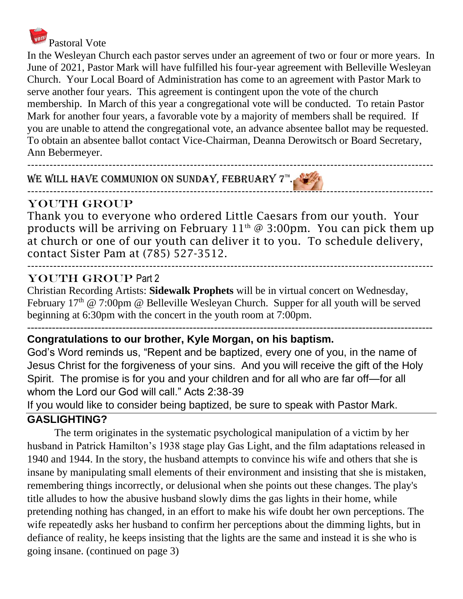

I[n th](https://www.freepngimg.com/png/25229-voting-box-file)e Wesleyan Church each pastor serves under an agreement of two or four or more years. In [June](https://www.freepngimg.com/png/25229-voting-box-file) of 2021, Pastor Mark will have fulfilled his four-year agreement with Belleville Wesleyan [Chu](https://www.freepngimg.com/png/25229-voting-box-file)rch. Your Local Board of Administration has come to an agreement with Pastor Mark to serve another four years. This agreement is contingent upon the vote of the church membership. In March of this year a congregational vote will be conducted. To retain Pastor Mark for another four years, a favorable vote by a majority of members shall be required. If you are unable to attend the congregational vote, an advance absentee ballot may be requested. To obtain an absentee ballot contact Vice-Chairman, Deanna Derowitsch or Board Secretary, Ann Bebermeyer.

--------------------------------------------------------------------------------------------------------------

#### WE WILL HAVE COMMUNION ON SUNDAY, FEBRUARY  $7^{\text{th}}$ . -[----](https://creativecommons.org/licenses/by-nc/3.0/)---------------------------------------------------------------------------------------------------------

## [YO](https://creativecommons.org/licenses/by-nc/3.0/)UTh Group

[Tha](https://creativecommons.org/licenses/by-nc/3.0/)nk you to everyone who ordered Little Caesars from our youth. Your products will be arriving on February  $11<sup>th</sup> @ 3:00pm.$  You can pick them up at church or one of our youth can deliver it to you. To schedule delivery, contact Sister Pam at (785) 527-3512.

### -------------------------------------------------------------------------------------------------------------- YOUTH GROUP Part 2

Christian Recording Artists: **Sidewalk Prophets** will be in virtual concert on Wednesday, February  $17<sup>th</sup>$  @ 7:00pm @ Belleville Wesleyan Church. Supper for all youth will be served beginning at 6:30pm with the concert in the youth room at 7:00pm.

#### ------------------------------------------------------------------------------------------------------------------- **Congratulations to our brother, Kyle Morgan, on his baptism.**

God's Word reminds us, "Repent and be baptized, every one of you, in the name of Jesus Christ for the forgiveness of your sins. And you will receive the gift of the Holy Spirit. The promise is for you and your children and for all who are far off—for all whom the Lord our God will call." Acts 2:38-39

If you would like to consider being baptized, be sure to speak with Pastor Mark.

# **GASLIGHTING?**

The term originates in the systematic psychological manipulation of a victim by her husband in Patrick Hamilton's 1938 stage play Gas Light, and the film adaptations released in 1940 and 1944. In the story, the husband attempts to convince his wife and others that she is insane by manipulating small elements of their environment and insisting that she is mistaken, remembering things incorrectly, or delusional when she points out these changes. The play's title alludes to how the abusive husband slowly dims the gas lights in their home, while pretending nothing has changed, in an effort to make his wife doubt her own perceptions. The wife repeatedly asks her husband to confirm her perceptions about the dimming lights, but in defiance of reality, he keeps insisting that the lights are the same and instead it is she who is going insane. (continued on page 3)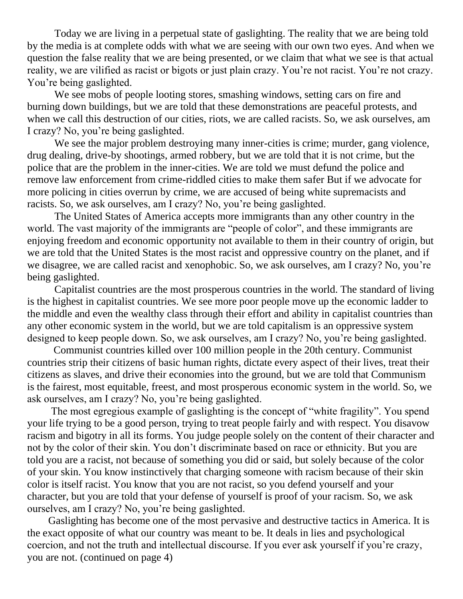Today we are living in a perpetual state of gaslighting. The reality that we are being told by the media is at complete odds with what we are seeing with our own two eyes. And when we question the false reality that we are being presented, or we claim that what we see is that actual reality, we are vilified as racist or bigots or just plain crazy. You're not racist. You're not crazy. You're being gaslighted.

We see mobs of people looting stores, smashing windows, setting cars on fire and burning down buildings, but we are told that these demonstrations are peaceful protests, and when we call this destruction of our cities, riots, we are called racists. So, we ask ourselves, am I crazy? No, you're being gaslighted.

We see the major problem destroying many inner-cities is crime; murder, gang violence, drug dealing, drive-by shootings, armed robbery, but we are told that it is not crime, but the police that are the problem in the inner-cities. We are told we must defund the police and remove law enforcement from crime-riddled cities to make them safer But if we advocate for more policing in cities overrun by crime, we are accused of being white supremacists and racists. So, we ask ourselves, am I crazy? No, you're being gaslighted.

The United States of America accepts more immigrants than any other country in the world. The vast majority of the immigrants are "people of color", and these immigrants are enjoying freedom and economic opportunity not available to them in their country of origin, but we are told that the United States is the most racist and oppressive country on the planet, and if we disagree, we are called racist and xenophobic. So, we ask ourselves, am I crazy? No, you're being gaslighted.

Capitalist countries are the most prosperous countries in the world. The standard of living is the highest in capitalist countries. We see more poor people move up the economic ladder to the middle and even the wealthy class through their effort and ability in capitalist countries than any other economic system in the world, but we are told capitalism is an oppressive system designed to keep people down. So, we ask ourselves, am I crazy? No, you're being gaslighted.

 Communist countries killed over 100 million people in the 20th century. Communist countries strip their citizens of basic human rights, dictate every aspect of their lives, treat their citizens as slaves, and drive their economies into the ground, but we are told that Communism is the fairest, most equitable, freest, and most prosperous economic system in the world. So, we ask ourselves, am I crazy? No, you're being gaslighted.

 The most egregious example of gaslighting is the concept of "white fragility". You spend your life trying to be a good person, trying to treat people fairly and with respect. You disavow racism and bigotry in all its forms. You judge people solely on the content of their character and not by the color of their skin. You don't discriminate based on race or ethnicity. But you are told you are a racist, not because of something you did or said, but solely because of the color of your skin. You know instinctively that charging someone with racism because of their skin color is itself racist. You know that you are not racist, so you defend yourself and your character, but you are told that your defense of yourself is proof of your racism. So, we ask ourselves, am I crazy? No, you're being gaslighted.

 Gaslighting has become one of the most pervasive and destructive tactics in America. It is the exact opposite of what our country was meant to be. It deals in lies and psychological coercion, and not the truth and intellectual discourse. If you ever ask yourself if you're crazy, you are not. (continued on page 4)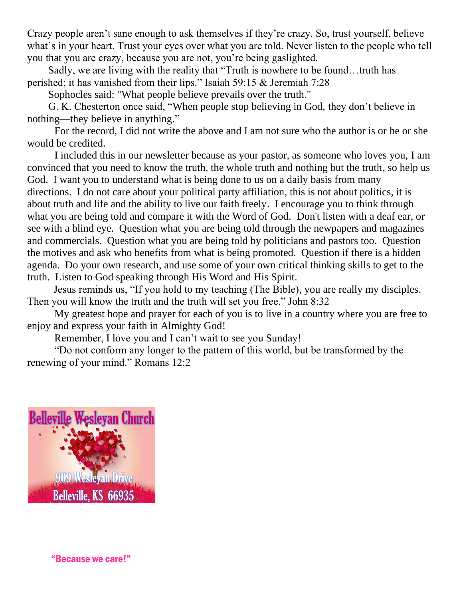Crazy people aren't sane enough to ask themselves if they're crazy. So, trust yourself, believe what's in your heart. Trust your eyes over what you are told. Never listen to the people who tell you that you are crazy, because you are not, you're being gaslighted.

 Sadly, we are living with the reality that "Truth is nowhere to be found…truth has perished; it has vanished from their lips." Isaiah 59:15 & Jeremiah 7:28

Sophocles said: "What people believe prevails over the truth."

 G. K. Chesterton once said, "When people stop believing in God, they don't believe in nothing—they believe in anything."

For the record, I did not write the above and I am not sure who the author is or he or she would be credited.

I included this in our newsletter because as your pastor, as someone who loves you, I am convinced that you need to know the truth, the whole truth and nothing but the truth, so help us God. I want you to understand what is being done to us on a daily basis from many directions. I do not care about your political party affiliation, this is not about politics, it is about truth and life and the ability to live our faith freely. I encourage you to think through what you are being told and compare it with the Word of God. Don't listen with a deaf ear, or see with a blind eye. Question what you are being told through the newpapers and magazines and commercials. Question what you are being told by politicians and pastors too. Question the motives and ask who benefits from what is being promoted. Question if there is a hidden agenda. Do your own research, and use some of your own critical thinking skills to get to the truth. Listen to God speaking through His Word and His Spirit.

 Jesus reminds us, "If you hold to my teaching (The Bible), you are really my disciples. Then you will know the truth and the truth will set you free." John 8:32

My greatest hope and prayer for each of you is to live in a country where you are free to enjoy and express your faith in Almighty God!

Remember, I love you and I can't wait to see you Sunday!

"Do not conform any longer to the pattern of this world, but be transformed by the renewing of your mind." Romans 12:2



"Because we care!"